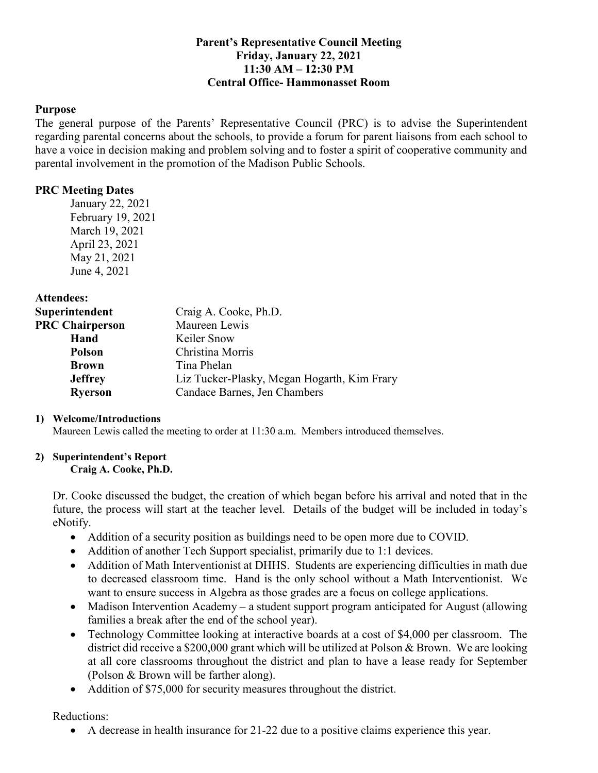# **Parent's Representative Council Meeting Friday, January 22, 2021 11:30 AM – 12:30 PM Central Office- Hammonasset Room**

## **Purpose**

 The general purpose of the Parents' Representative Council (PRC) is to advise the Superintendent regarding parental concerns about the schools, to provide a forum for parent liaisons from each school to have a voice in decision making and problem solving and to foster a spirit of cooperative community and parental involvement in the promotion of the Madison Public Schools.

# **PRC Meeting Dates**

 January 22, 2021 February 19, 2021 March 19, 2021 April 23, 2021 May 21, 2021 June 4, 2021

**Attendees:** 

| Superintendent         | Craig A. Cooke, Ph.D.                       |
|------------------------|---------------------------------------------|
| <b>PRC Chairperson</b> | Maureen Lewis                               |
| Hand                   | Keiler Snow                                 |
| <b>Polson</b>          | Christina Morris                            |
| <b>Brown</b>           | Tina Phelan                                 |
| <b>Jeffrey</b>         | Liz Tucker-Plasky, Megan Hogarth, Kim Frary |
| <b>Ryerson</b>         | Candace Barnes, Jen Chambers                |

## **1) Welcome/Introductions**

Maureen Lewis called the meeting to order at 11:30 a.m. Members introduced themselves.

# **2) Superintendent's Report**

#### **Craig A. Cooke, Ph.D.**

 Dr. Cooke discussed the budget, the creation of which began before his arrival and noted that in the future, the process will start at the teacher level. Details of the budget will be included in today's eNotify.

- Addition of a security position as buildings need to be open more due to COVID.
- Addition of another Tech Support specialist, primarily due to 1:1 devices.
- • Addition of Math Interventionist at DHHS. Students are experiencing difficulties in math due to decreased classroom time. Hand is the only school without a Math Interventionist. We want to ensure success in Algebra as those grades are a focus on college applications.
- Madison Intervention Academy a student support program anticipated for August (allowing families a break after the end of the school year).
- • Technology Committee looking at interactive boards at a cost of \$4,000 per classroom. The district did receive a \$200,000 grant which will be utilized at Polson & Brown. We are looking at all core classrooms throughout the district and plan to have a lease ready for September (Polson & Brown will be farther along).
- Addition of \$75,000 for security measures throughout the district.

Reductions:

• A decrease in health insurance for 21-22 due to a positive claims experience this year.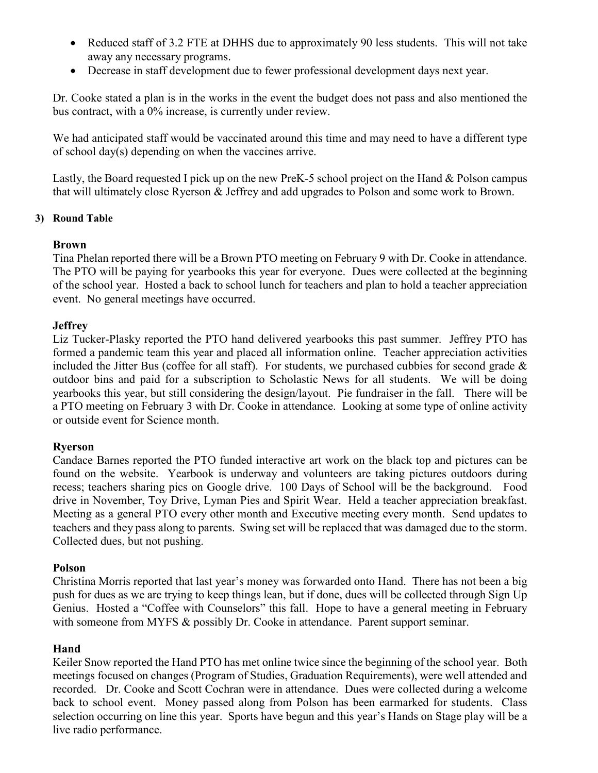- • Reduced staff of 3.2 FTE at DHHS due to approximately 90 less students. This will not take away any necessary programs.
- Decrease in staff development due to fewer professional development days next year.

 Dr. Cooke stated a plan is in the works in the event the budget does not pass and also mentioned the bus contract, with a 0% increase, is currently under review.

 We had anticipated staff would be vaccinated around this time and may need to have a different type of school day(s) depending on when the vaccines arrive.

 Lastly, the Board requested I pick up on the new PreK-5 school project on the Hand & Polson campus that will ultimately close Ryerson & Jeffrey and add upgrades to Polson and some work to Brown.

# **3) Round Table**

# **Brown**

 Tina Phelan reported there will be a Brown PTO meeting on February 9 with Dr. Cooke in attendance. The PTO will be paying for yearbooks this year for everyone. Dues were collected at the beginning of the school year. Hosted a back to school lunch for teachers and plan to hold a teacher appreciation event. No general meetings have occurred.

# **Jeffrey**

 Liz Tucker-Plasky reported the PTO hand delivered yearbooks this past summer. Jeffrey PTO has formed a pandemic team this year and placed all information online. Teacher appreciation activities included the Jitter Bus (coffee for all staff). For students, we purchased cubbies for second grade & outdoor bins and paid for a subscription to Scholastic News for all students. We will be doing yearbooks this year, but still considering the design/layout. Pie fundraiser in the fall. There will be a PTO meeting on February 3 with Dr. Cooke in attendance. Looking at some type of online activity or outside event for Science month.

## **Ryerson**

 Candace Barnes reported the PTO funded interactive art work on the black top and pictures can be found on the website. Yearbook is underway and volunteers are taking pictures outdoors during recess; teachers sharing pics on Google drive. 100 Days of School will be the background. Food drive in November, Toy Drive, Lyman Pies and Spirit Wear. Held a teacher appreciation breakfast. Meeting as a general PTO every other month and Executive meeting every month. Send updates to teachers and they pass along to parents. Swing set will be replaced that was damaged due to the storm. Collected dues, but not pushing.

## **Polson**

 Christina Morris reported that last year's money was forwarded onto Hand. There has not been a big push for dues as we are trying to keep things lean, but if done, dues will be collected through Sign Up Genius. Hosted a "Coffee with Counselors" this fall. Hope to have a general meeting in February with someone from MYFS & possibly Dr. Cooke in attendance. Parent support seminar.

## **Hand**

 Keiler Snow reported the Hand PTO has met online twice since the beginning of the school year. Both meetings focused on changes (Program of Studies, Graduation Requirements), were well attended and recorded. Dr. Cooke and Scott Cochran were in attendance. Dues were collected during a welcome back to school event. Money passed along from Polson has been earmarked for students. Class selection occurring on line this year. Sports have begun and this year's Hands on Stage play will be a live radio performance.